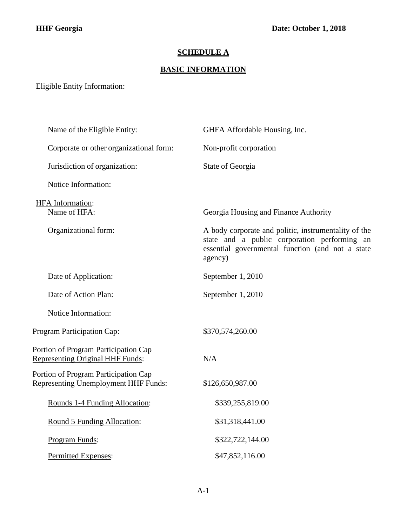## **SCHEDULE A**

## **BASIC INFORMATION**

## Eligible Entity Information:

| Name of the Eligible Entity:                                                        | GHFA Affordable Housing, Inc.                                                                                                                                       |
|-------------------------------------------------------------------------------------|---------------------------------------------------------------------------------------------------------------------------------------------------------------------|
| Corporate or other organizational form:                                             | Non-profit corporation                                                                                                                                              |
| Jurisdiction of organization:                                                       | State of Georgia                                                                                                                                                    |
| Notice Information:                                                                 |                                                                                                                                                                     |
| <b>HFA</b> Information:<br>Name of HFA:                                             | Georgia Housing and Finance Authority                                                                                                                               |
| Organizational form:                                                                | A body corporate and politic, instrumentality of the<br>state and a public corporation performing an<br>essential governmental function (and not a state<br>agency) |
| Date of Application:                                                                | September 1, 2010                                                                                                                                                   |
| Date of Action Plan:                                                                | September 1, 2010                                                                                                                                                   |
| Notice Information:                                                                 |                                                                                                                                                                     |
| <b>Program Participation Cap:</b>                                                   | \$370,574,260.00                                                                                                                                                    |
| Portion of Program Participation Cap<br><b>Representing Original HHF Funds:</b>     | N/A                                                                                                                                                                 |
| Portion of Program Participation Cap<br><b>Representing Unemployment HHF Funds:</b> | \$126,650,987.00                                                                                                                                                    |
| Rounds 1-4 Funding Allocation:                                                      | \$339,255,819.00                                                                                                                                                    |
| Round 5 Funding Allocation:                                                         | \$31,318,441.00                                                                                                                                                     |
| Program Funds:                                                                      | \$322,722,144.00                                                                                                                                                    |
| Permitted Expenses:                                                                 | \$47,852,116.00                                                                                                                                                     |